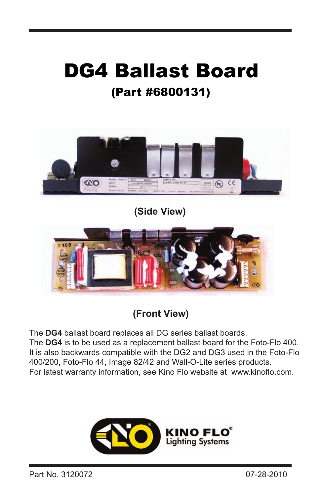## (Part #6800131) DG4 Ballast Board



**(Side View)**



**(Front View)**

The **DG4** ballast board replaces all DG series ballast boards. The **DG4** is to be used as a replacement ballast board for the Foto-Flo 400. It is also backwards compatible with the DG2 and DG3 used in the Foto-Flo 400/200, Foto-Flo 44, Image 82/42 and Wall-O-Lite series products. For latest warranty information, see Kino Flo website at www.kinoflo.com.

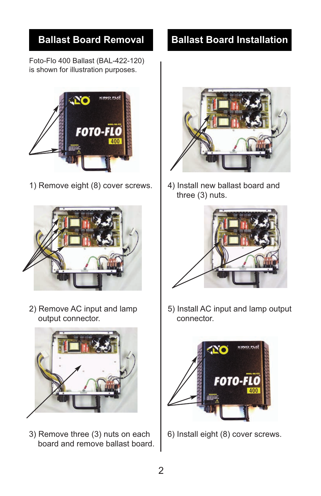Foto-Flo 400 Ballast (BAL-422-120) is shown for illustration purposes.



1) Remove eight (8) cover screws.  $\begin{bmatrix} 4 \end{bmatrix}$  Install new ballast board and



2) Remove AC input and lamp output connector.



3) Remove three (3) nuts on each board and remove ballast board.

## **Ballast Board Removal Ballast Board Installation**



three (3) nuts.



5) Install AC input and lamp output connector.



6) Install eight (8) cover screws.